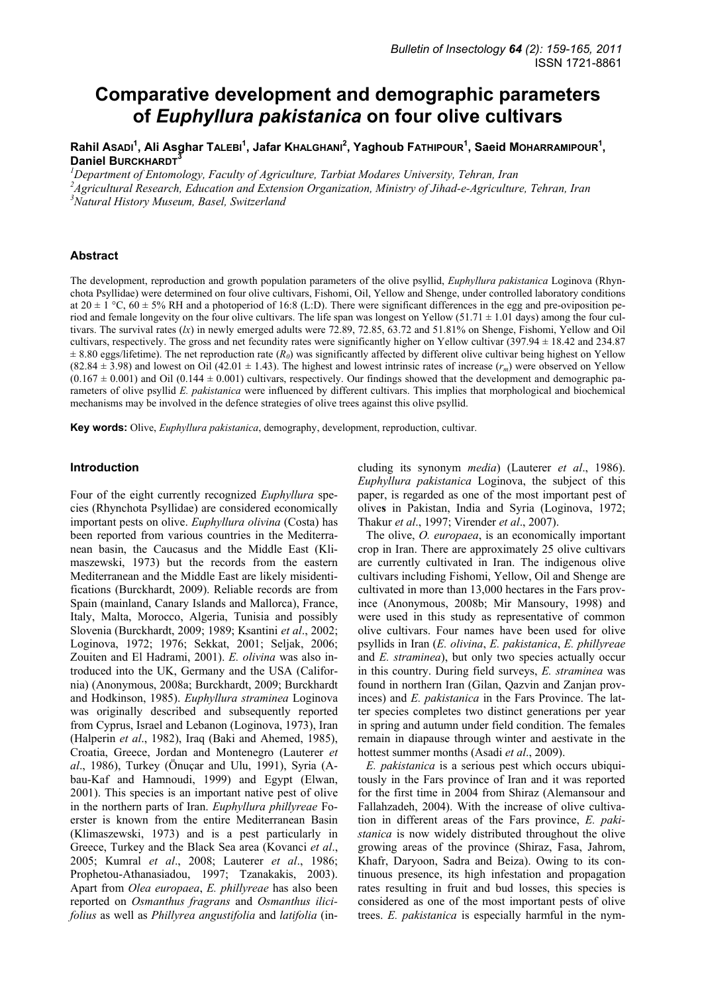# **Comparative development and demographic parameters of** *Euphyllura pakistanica* **on four olive cultivars**

 $R$ ahil As<code>ADI</code><sup>1</sup>, Ali As<code>ghar TALEBI</code><sup>1</sup>, Jafar K<code>HALGHANI</code><sup>2</sup>, Yaghoub F<code>ATHIPOUR</code><sup>1</sup>, Saeid MOHARRAMIPOUR<sup>1</sup>, **Daniel BURCKHARDT** 

<sup>1</sup>Department of Entomology, Faculty of Agriculture, Tarbiat Modares University, Tehran, Iran

*2 Agricultural Research, Education and Extension Organization, Ministry of Jihad-e-Agriculture, Tehran, Iran 3 Natural History Museum, Basel, Switzerland* 

## **Abstract**

The development, reproduction and growth population parameters of the olive psyllid, *Euphyllura pakistanica* Loginova (Rhynchota Psyllidae) were determined on four olive cultivars, Fishomi, Oil, Yellow and Shenge, under controlled laboratory conditions at  $20 \pm 1$  °C,  $60 \pm 5\%$  RH and a photoperiod of 16:8 (L:D). There were significant differences in the egg and pre-oviposition period and female longevity on the four olive cultivars. The life span was longest on Yellow (51.71  $\pm$  1.01 days) among the four cultivars. The survival rates (*lx*) in newly emerged adults were 72.89, 72.85, 63.72 and 51.81% on Shenge, Fishomi, Yellow and Oil cultivars, respectively. The gross and net fecundity rates were significantly higher on Yellow cultivar (397.94 ± 18.42 and 234.87  $\pm$  8.80 eggs/lifetime). The net reproduction rate ( $R_0$ ) was significantly affected by different olive cultivar being highest on Yellow  $(82.84 \pm 3.98)$  and lowest on Oil  $(42.01 \pm 1.43)$ . The highest and lowest intrinsic rates of increase  $(r_m)$  were observed on Yellow  $(0.167 \pm 0.001)$  and Oil  $(0.144 \pm 0.001)$  cultivars, respectively. Our findings showed that the development and demographic parameters of olive psyllid *E. pakistanica* were influenced by different cultivars. This implies that morphological and biochemical mechanisms may be involved in the defence strategies of olive trees against this olive psyllid.

**Key words:** Olive, *Euphyllura pakistanica*, demography, development, reproduction, cultivar.

## **Introduction**

Four of the eight currently recognized *Euphyllura* species (Rhynchota Psyllidae) are considered economically important pests on olive. *Euphyllura olivina* (Costa) has been reported from various countries in the Mediterranean basin, the Caucasus and the Middle East (Klimaszewski, 1973) but the records from the eastern Mediterranean and the Middle East are likely misidentifications (Burckhardt, 2009). Reliable records are from Spain (mainland, Canary Islands and Mallorca), France, Italy, Malta, Morocco, Algeria, Tunisia and possibly Slovenia (Burckhardt, 2009; 1989; Ksantini *et al*., 2002; Loginova, 1972; 1976; Sekkat, 2001; Seljak, 2006; Zouiten and El Hadrami, 2001). *E. olivina* was also introduced into the UK, Germany and the USA (California) (Anonymous, 2008a; Burckhardt, 2009; Burckhardt and Hodkinson, 1985). *Euphyllura straminea* Loginova was originally described and subsequently reported from Cyprus, Israel and Lebanon (Loginova, 1973), Iran (Halperin *et al*., 1982), Iraq (Baki and Ahemed, 1985), Croatia, Greece, Jordan and Montenegro (Lauterer *et al*., 1986), Turkey (Önuçar and Ulu, 1991), Syria (Abau-Kaf and Hamnoudi, 1999) and Egypt (Elwan, 2001). This species is an important native pest of olive in the northern parts of Iran. *Euphyllura phillyreae* Foerster is known from the entire Mediterranean Basin (Klimaszewski, 1973) and is a pest particularly in Greece, Turkey and the Black Sea area (Kovanci *et al*., 2005; Kumral *et al*., 2008; Lauterer *et al*., 1986; Prophetou-Athanasiadou, 1997; Tzanakakis, 2003). Apart from *Olea europaea*, *E. phillyreae* has also been reported on *Osmanthus fragrans* and *Osmanthus ilicifolius* as well as *Phillyrea angustifolia* and *latifolia* (in-

cluding its synonym *media*) (Lauterer *et al*., 1986). *Euphyllura pakistanica* Loginova, the subject of this paper, is regarded as one of the most important pest of olive**s** in Pakistan, India and Syria (Loginova, 1972; Thakur *et al*., 1997; Virender *et al*., 2007).

The olive, *O. europaea*, is an economically important crop in Iran. There are approximately 25 olive cultivars are currently cultivated in Iran. The indigenous olive cultivars including Fishomi, Yellow, Oil and Shenge are cultivated in more than 13,000 hectares in the Fars province (Anonymous, 2008b; Mir Mansoury, 1998) and were used in this study as representative of common olive cultivars. Four names have been used for olive psyllids in Iran (*E. olivina*, *E. pakistanica*, *E. phillyreae* and *E. straminea*), but only two species actually occur in this country. During field surveys, *E. straminea* was found in northern Iran (Gilan, Qazvin and Zanjan provinces) and *E. pakistanica* in the Fars Province. The latter species completes two distinct generations per year in spring and autumn under field condition. The females remain in diapause through winter and aestivate in the hottest summer months (Asadi *et al*., 2009).

*E. pakistanica* is a serious pest which occurs ubiquitously in the Fars province of Iran and it was reported for the first time in 2004 from Shiraz (Alemansour and Fallahzadeh, 2004). With the increase of olive cultivation in different areas of the Fars province, *E. pakistanica* is now widely distributed throughout the olive growing areas of the province (Shiraz, Fasa, Jahrom, Khafr, Daryoon, Sadra and Beiza). Owing to its continuous presence, its high infestation and propagation rates resulting in fruit and bud losses, this species is considered as one of the most important pests of olive trees. *E. pakistanica* is especially harmful in the nym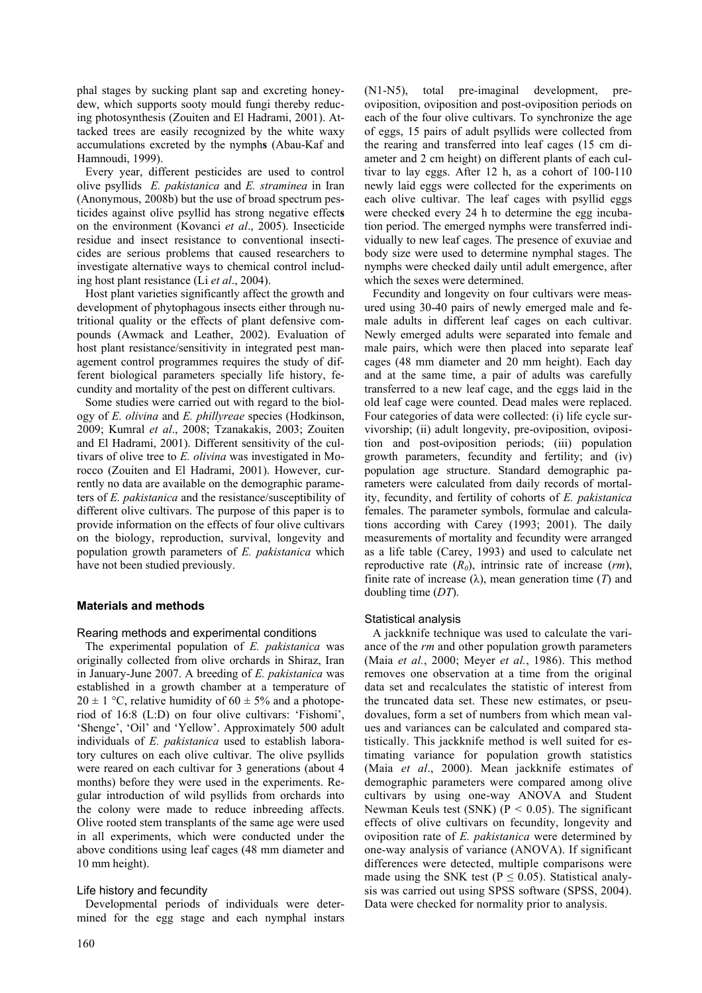phal stages by sucking plant sap and excreting honeydew, which supports sooty mould fungi thereby reducing photosynthesis (Zouiten and El Hadrami, 2001). Attacked trees are easily recognized by the white waxy accumulations excreted by the nymph**s** (Abau-Kaf and Hamnoudi, 1999).

Every year, different pesticides are used to control olive psyllids *E. pakistanica* and *E. straminea* in Iran (Anonymous, 2008b) but the use of broad spectrum pesticides against olive psyllid has strong negative effect**s** on the environment (Kovanci *et al*., 2005). Insecticide residue and insect resistance to conventional insecticides are serious problems that caused researchers to investigate alternative ways to chemical control including host plant resistance (Li *et al*., 2004).

Host plant varieties significantly affect the growth and development of phytophagous insects either through nutritional quality or the effects of plant defensive compounds (Awmack and Leather, 2002). Evaluation of host plant resistance/sensitivity in integrated pest management control programmes requires the study of different biological parameters specially life history, fecundity and mortality of the pest on different cultivars.

Some studies were carried out with regard to the biology of *E. olivina* and *E. phillyreae* species (Hodkinson, 2009; Kumral *et al*., 2008; Tzanakakis, 2003; Zouiten and El Hadrami, 2001). Different sensitivity of the cultivars of olive tree to *E. olivina* was investigated in Morocco (Zouiten and El Hadrami, 2001). However, currently no data are available on the demographic parameters of *E. pakistanica* and the resistance/susceptibility of different olive cultivars. The purpose of this paper is to provide information on the effects of four olive cultivars on the biology, reproduction, survival, longevity and population growth parameters of *E. pakistanica* which have not been studied previously.

## **Materials and methods**

## Rearing methods and experimental conditions

The experimental population of *E. pakistanica* was originally collected from olive orchards in Shiraz, Iran in January-June 2007. A breeding of *E. pakistanica* was established in a growth chamber at a temperature of  $20 \pm 1$  °C, relative humidity of 60  $\pm$  5% and a photoperiod of 16:8 (L:D) on four olive cultivars: 'Fishomi', 'Shenge', 'Oil' and 'Yellow'. Approximately 500 adult individuals of *E. pakistanica* used to establish laboratory cultures on each olive cultivar. The olive psyllids were reared on each cultivar for 3 generations (about 4 months) before they were used in the experiments. Regular introduction of wild psyllids from orchards into the colony were made to reduce inbreeding affects. Olive rooted stem transplants of the same age were used in all experiments, which were conducted under the above conditions using leaf cages (48 mm diameter and 10 mm height).

## Life history and fecundity

Developmental periods of individuals were determined for the egg stage and each nymphal instars (N1-N5), total pre-imaginal development, preoviposition, oviposition and post-oviposition periods on each of the four olive cultivars. To synchronize the age of eggs, 15 pairs of adult psyllids were collected from the rearing and transferred into leaf cages (15 cm diameter and 2 cm height) on different plants of each cultivar to lay eggs. After 12 h, as a cohort of 100-110 newly laid eggs were collected for the experiments on each olive cultivar. The leaf cages with psyllid eggs were checked every 24 h to determine the egg incubation period. The emerged nymphs were transferred individually to new leaf cages. The presence of exuviae and body size were used to determine nymphal stages. The nymphs were checked daily until adult emergence, after which the sexes were determined.

Fecundity and longevity on four cultivars were measured using 30-40 pairs of newly emerged male and female adults in different leaf cages on each cultivar. Newly emerged adults were separated into female and male pairs, which were then placed into separate leaf cages (48 mm diameter and 20 mm height). Each day and at the same time, a pair of adults was carefully transferred to a new leaf cage, and the eggs laid in the old leaf cage were counted. Dead males were replaced. Four categories of data were collected: (i) life cycle survivorship; (ii) adult longevity, pre-oviposition, oviposition and post-oviposition periods; (iii) population growth parameters, fecundity and fertility; and (iv) population age structure. Standard demographic parameters were calculated from daily records of mortality, fecundity, and fertility of cohorts of *E. pakistanica*  females. The parameter symbols, formulae and calculations according with Carey (1993; 2001). The daily measurements of mortality and fecundity were arranged as a life table (Carey, 1993) and used to calculate net reproductive rate (*R0*), intrinsic rate of increase (*rm*), finite rate of increase  $(\lambda)$ , mean generation time  $(T)$  and doubling time (*DT*).

## Statistical analysis

A jackknife technique was used to calculate the variance of the *rm* and other population growth parameters (Maia *et al.*, 2000; Meyer *et al.*, 1986). This method removes one observation at a time from the original data set and recalculates the statistic of interest from the truncated data set. These new estimates, or pseudovalues, form a set of numbers from which mean values and variances can be calculated and compared statistically. This jackknife method is well suited for estimating variance for population growth statistics (Maia *et al*., 2000). Mean jackknife estimates of demographic parameters were compared among olive cultivars by using one-way ANOVA and Student Newman Keuls test (SNK) ( $P < 0.05$ ). The significant effects of olive cultivars on fecundity, longevity and oviposition rate of *E. pakistanica* were determined by one-way analysis of variance (ANOVA). If significant differences were detected, multiple comparisons were made using the SNK test ( $P \le 0.05$ ). Statistical analysis was carried out using SPSS software (SPSS, 2004). Data were checked for normality prior to analysis.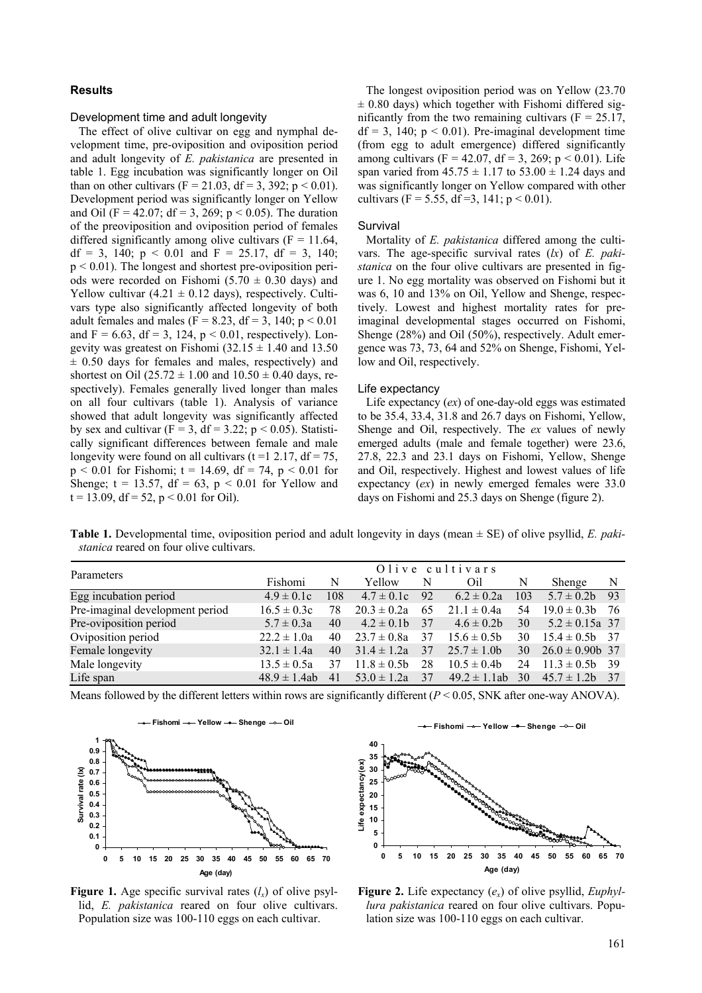### **Results**

Development time and adult longevity

The effect of olive cultivar on egg and nymphal development time, pre-oviposition and oviposition period and adult longevity of *E. pakistanica* are presented in table 1. Egg incubation was significantly longer on Oil than on other cultivars (F = 21.03, df = 3, 392; p < 0.01). Development period was significantly longer on Yellow and Oil (F = 42.07; df = 3, 269; p < 0.05). The duration of the preoviposition and oviposition period of females differed significantly among olive cultivars ( $F = 11.64$ , df = 3, 140;  $p \le 0.01$  and F = 25.17, df = 3, 140;  $p < 0.01$ ). The longest and shortest pre-oviposition periods were recorded on Fishomi (5.70  $\pm$  0.30 days) and Yellow cultivar  $(4.21 \pm 0.12$  days), respectively. Cultivars type also significantly affected longevity of both adult females and males ( $F = 8.23$ , df = 3, 140;  $p < 0.01$ and  $F = 6.63$ , df = 3, 124, p < 0.01, respectively). Longevity was greatest on Fishomi ( $32.15 \pm 1.40$  and 13.50  $\pm$  0.50 days for females and males, respectively) and shortest on Oil (25.72  $\pm$  1.00 and 10.50  $\pm$  0.40 days, respectively). Females generally lived longer than males on all four cultivars (table 1). Analysis of variance showed that adult longevity was significantly affected by sex and cultivar ( $F = 3$ ,  $df = 3.22$ ;  $p < 0.05$ ). Statistically significant differences between female and male longevity were found on all cultivars ( $t = 1, 2, 17, df = 75$ ,  $p < 0.01$  for Fishomi;  $t = 14.69$ ,  $df = 74$ ,  $p < 0.01$  for Shenge;  $t = 13.57$ ,  $df = 63$ ,  $p < 0.01$  for Yellow and  $t = 13.09$ ,  $df = 52$ ,  $p < 0.01$  for Oil).

The longest oviposition period was on Yellow (23.70  $\pm$  0.80 days) which together with Fishomi differed significantly from the two remaining cultivars ( $F = 25.17$ ,  $df = 3$ , 140;  $p < 0.01$ ). Pre-imaginal development time (from egg to adult emergence) differed significantly among cultivars (F = 42.07, df = 3, 269; p < 0.01). Life span varied from  $45.75 \pm 1.17$  to  $53.00 \pm 1.24$  days and was significantly longer on Yellow compared with other cultivars (F = 5.55, df = 3, 141;  $p < 0.01$ ).

#### **Survival**

Mortality of *E. pakistanica* differed among the cultivars. The age-specific survival rates (*lx*) of *E. pakistanica* on the four olive cultivars are presented in figure 1. No egg mortality was observed on Fishomi but it was 6, 10 and 13% on Oil, Yellow and Shenge, respectively. Lowest and highest mortality rates for preimaginal developmental stages occurred on Fishomi, Shenge (28%) and Oil (50%), respectively. Adult emergence was 73, 73, 64 and 52% on Shenge, Fishomi, Yellow and Oil, respectively.

#### Life expectancy

Life expectancy (*ex*) of one-day-old eggs was estimated to be 35.4, 33.4, 31.8 and 26.7 days on Fishomi, Yellow, Shenge and Oil, respectively. The *ex* values of newly emerged adults (male and female together) were 23.6, 27.8, 22.3 and 23.1 days on Fishomi, Yellow, Shenge and Oil, respectively. Highest and lowest values of life expectancy (*ex*) in newly emerged females were 33.0 days on Fishomi and 25.3 days on Shenge (figure 2).

**Table 1.** Developmental time, oviposition period and adult longevity in days (mean ± SE) of olive psyllid, *E. pakistanica* reared on four olive cultivars.

| Parameters                      | Olive cultivars  |     |                 |    |                   |     |                     |      |
|---------------------------------|------------------|-----|-----------------|----|-------------------|-----|---------------------|------|
|                                 | Fishomi          | N   | Yellow          | Ν  | Oil               | N   | Shenge              | N    |
| Egg incubation period           | $4.9 \pm 0.1c$   | 108 | $4.7 \pm 0.1c$  | 92 | $6.2 \pm 0.2a$    | 103 | $5.7 \pm 0.2b$      | 93   |
| Pre-imaginal development period | $16.5 \pm 0.3c$  | 78  | $20.3 \pm 0.2a$ | 65 | $21.1 \pm 0.4a$   | 54  | $19.0 \pm 0.3b$     | -76  |
| Pre-oviposition period          | $5.7 \pm 0.3a$   | 40  | $4.2 \pm 0.1$   | 37 | $4.6 \pm 0.2b$    | 30  | $5.2 \pm 0.15a$ 37  |      |
| Oviposition period              | $22.2 \pm 1.0a$  | 40  | $23.7 \pm 0.8a$ | 37 | $15.6 \pm 0.5b$   | 30  | $15.4 \pm 0.5b$ 37  |      |
| Female longevity                | $32.1 \pm 1.4a$  | 40  | $31.4 \pm 1.2a$ | 37 | $25.7 \pm 1.0$    | 30  | $26.0 \pm 0.90b$ 37 |      |
| Male longevity                  | $13.5 \pm 0.5a$  | 37  | $11.8 \pm 0.5b$ | 28 | $10.5 \pm 0.4b$   | 24  | $11.3 \pm 0.5b$     | - 39 |
| Life span                       | $48.9 \pm 1.4ab$ | 41  | $53.0 \pm 1.2a$ | 37 | $49.2 \pm 1.1$ ab | 30  | $45.7 \pm 1.2b$     | - 37 |

Means followed by the different letters within rows are significantly different  $(P < 0.05$ , SNK after one-way ANOVA).



**Figure 1.** Age specific survival rates  $(l_x)$  of olive psyllid, *E. pakistanica* reared on four olive cultivars. Population size was 100-110 eggs on each cultivar.



**Figure 2.** Life expectancy (*ex*) of olive psyllid, *Euphyllura pakistanica* reared on four olive cultivars. Population size was 100-110 eggs on each cultivar.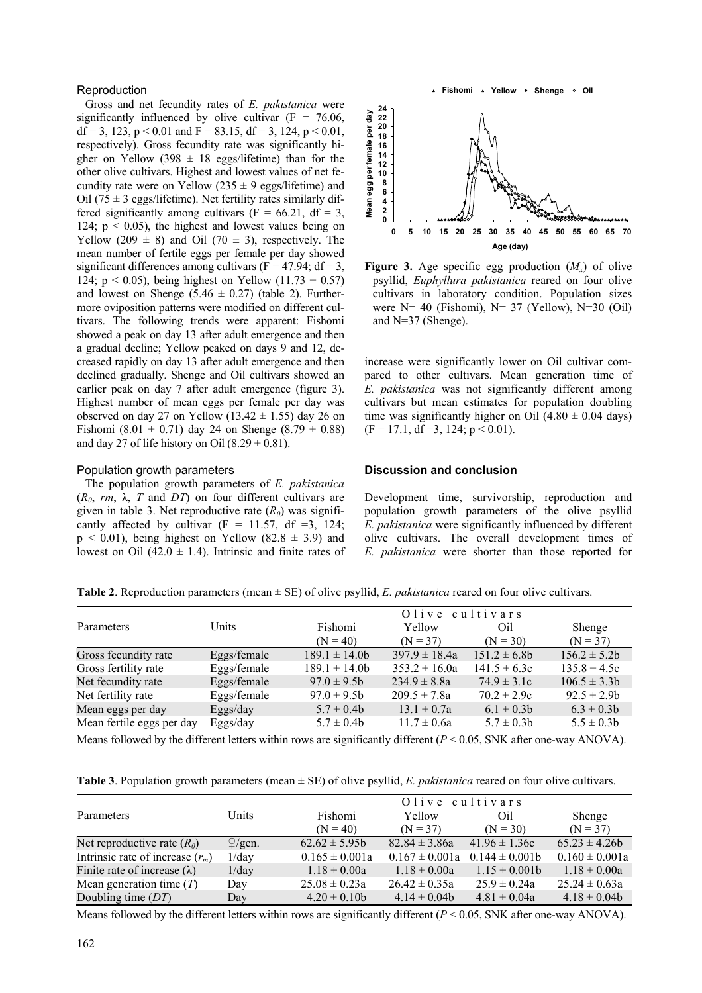## Reproduction

Gross and net fecundity rates of *E. pakistanica* were significantly influenced by olive cultivar  $(F = 76.06,$ df = 3, 123, p < 0.01 and F = 83.15, df = 3, 124, p < 0.01, respectively). Gross fecundity rate was significantly higher on Yellow (398  $\pm$  18 eggs/lifetime) than for the other olive cultivars. Highest and lowest values of net fecundity rate were on Yellow (235  $\pm$  9 eggs/lifetime) and Oil (75  $\pm$  3 eggs/lifetime). Net fertility rates similarly differed significantly among cultivars ( $F = 66.21$ , df = 3, 124;  $p < 0.05$ ), the highest and lowest values being on Yellow (209  $\pm$  8) and Oil (70  $\pm$  3), respectively. The mean number of fertile eggs per female per day showed significant differences among cultivars ( $F = 47.94$ ; df = 3, 124;  $p < 0.05$ ), being highest on Yellow (11.73  $\pm$  0.57) and lowest on Shenge (5.46  $\pm$  0.27) (table 2). Furthermore oviposition patterns were modified on different cultivars. The following trends were apparent: Fishomi showed a peak on day 13 after adult emergence and then a gradual decline; Yellow peaked on days 9 and 12, decreased rapidly on day 13 after adult emergence and then declined gradually. Shenge and Oil cultivars showed an earlier peak on day 7 after adult emergence (figure 3). Highest number of mean eggs per female per day was observed on day 27 on Yellow (13.42  $\pm$  1.55) day 26 on Fishomi (8.01  $\pm$  0.71) day 24 on Shenge (8.79  $\pm$  0.88) and day 27 of life history on Oil  $(8.29 \pm 0.81)$ .

## Population growth parameters

The population growth parameters of *E. pakistanica*   $(R_0, rm, \lambda, T \text{ and } DT)$  on four different cultivars are given in table 3. Net reproductive rate  $(R_0)$  was significantly affected by cultivar  $(F = 11.57, df = 3, 124;$  $p \le 0.01$ ), being highest on Yellow (82.8  $\pm$  3.9) and lowest on Oil (42.0  $\pm$  1.4). Intrinsic and finite rates of





**Figure 3.** Age specific egg production  $(M_x)$  of olive psyllid, *Euphyllura pakistanica* reared on four olive cultivars in laboratory condition. Population sizes were  $N= 40$  (Fishomi),  $N= 37$  (Yellow),  $N=30$  (Oil) and N=37 (Shenge).

increase were significantly lower on Oil cultivar compared to other cultivars. Mean generation time of *E. pakistanica* was not significantly different among cultivars but mean estimates for population doubling time was significantly higher on Oil (4.80  $\pm$  0.04 days)  $(F = 17.1, df = 3, 124; p < 0.01)$ .

#### **Discussion and conclusion**

Development time, survivorship, reproduction and population growth parameters of the olive psyllid *E. pakistanica* were significantly influenced by different olive cultivars. The overall development times of *E. pakistanica* were shorter than those reported for

**Table 2**. Reproduction parameters (mean  $\pm$  SE) of olive psyllid, *E. pakistanica* reared on four olive cultivars.

|                           |             | Olive cultivars    |                   |                  |                  |  |
|---------------------------|-------------|--------------------|-------------------|------------------|------------------|--|
| Parameters                | Units       | Fishomi            | Yellow            | Oil              | Shenge           |  |
|                           |             | $(N = 40)$         | $(N = 37)$        | $(N = 30)$       | $(N = 37)$       |  |
| Gross fecundity rate      | Eggs/female | $189.1 \pm 14.0$   | $397.9 \pm 18.4a$ | $151.2 \pm 6.8b$ | $156.2 \pm 5.2b$ |  |
| Gross fertility rate      | Eggs/female | $189.1 \pm 14.0$ b | $353.2 \pm 16.0a$ | $141.5 \pm 6.3c$ | $135.8 \pm 4.5c$ |  |
| Net fecundity rate        | Eggs/female | $97.0 \pm 9.5$     | $234.9 \pm 8.8a$  | $74.9 \pm 3.1c$  | $106.5 \pm 3.3b$ |  |
| Net fertility rate        | Eggs/female | $97.0 \pm 9.5b$    | $209.5 \pm 7.8a$  | $70.2 \pm 2.9c$  | $92.5 \pm 2.9$   |  |
| Mean eggs per day         | Eggs/day    | $5.7 \pm 0.4b$     | $13.1 \pm 0.7a$   | $6.1 \pm 0.3b$   | $6.3 \pm 0.3b$   |  |
| Mean fertile eggs per day | Eggs/day    | $5.7 \pm 0.4b$     | $11.7 \pm 0.6a$   | $5.7 \pm 0.3b$   | $5.5 \pm 0.3b$   |  |

Means followed by the different letters within rows are significantly different  $(P < 0.05$ , SNK after one-way ANOVA).

**Table 3**. Population growth parameters (mean  $\pm$  SE) of olive psyllid, *E. pakistanica* reared on four olive cultivars.

|                                     | Olive cultivars     |                    |                    |                    |                    |  |
|-------------------------------------|---------------------|--------------------|--------------------|--------------------|--------------------|--|
| Parameters                          | Units               | Fishomi            | Yellow             | Oil                | Shenge             |  |
|                                     |                     | $(N = 40)$         | $(N = 37)$         | $(N = 30)$         | $(N = 37)$         |  |
| Net reproductive rate $(R_0)$       | $\mathcal{Q}/gen$ . | $62.62 \pm 5.95b$  | $82.84 \pm 3.86a$  | $41.96 \pm 1.36c$  | $65.23 \pm 4.26b$  |  |
| Intrinsic rate of increase $(r_m)$  | $1$ /day            | $0.165 \pm 0.001a$ | $0.167 \pm 0.001a$ | $0.144 \pm 0.001b$ | $0.160 \pm 0.001a$ |  |
| Finite rate of increase $(\lambda)$ | 1/day               | $1.18 \pm 0.00a$   | $1.18 \pm 0.00a$   | $1.15 \pm 0.001b$  | $1.18 \pm 0.00a$   |  |
| Mean generation time $(T)$          | Day                 | $25.08 \pm 0.23a$  | $26.42 \pm 0.35a$  | $25.9 \pm 0.24a$   | $25.24 \pm 0.63a$  |  |
| Doubling time $(DT)$                | Day                 | $4.20 \pm 0.10b$   | $4.14 \pm 0.04b$   | $4.81 \pm 0.04a$   | $4.18 \pm 0.04b$   |  |

Means followed by the different letters within rows are significantly different  $(P < 0.05$ , SNK after one-way ANOVA).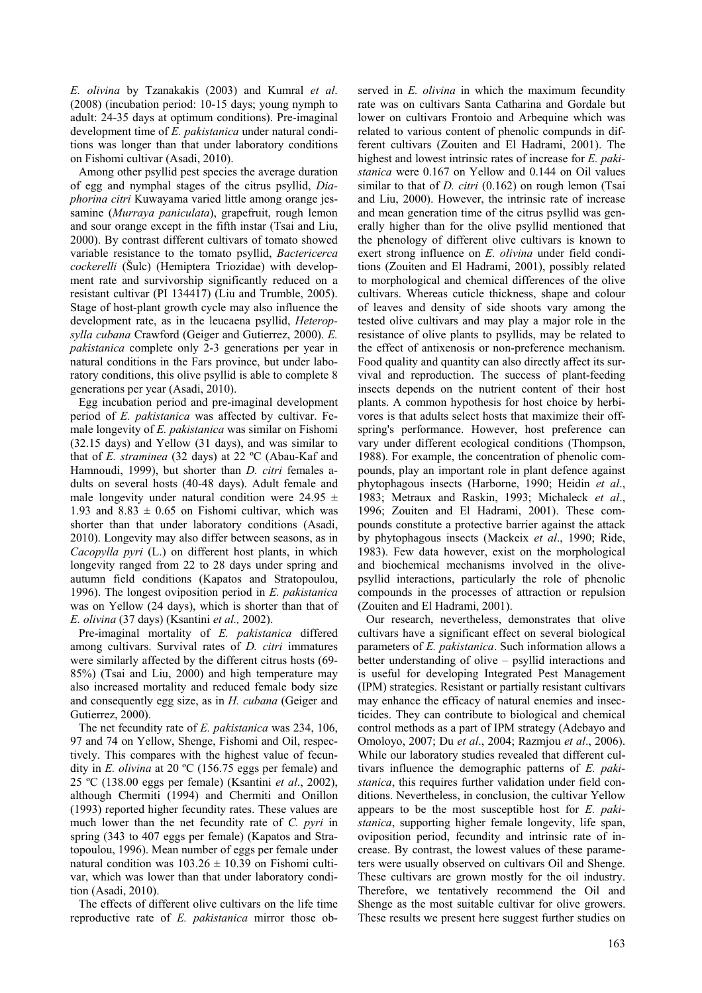*E. olivina* by Tzanakakis (2003) and Kumral *et al*. (2008) (incubation period: 10-15 days; young nymph to adult: 24-35 days at optimum conditions). Pre-imaginal development time of *E. pakistanica* under natural conditions was longer than that under laboratory conditions on Fishomi cultivar (Asadi, 2010).

Among other psyllid pest species the average duration of egg and nymphal stages of the citrus psyllid, *Diaphorina citri* Kuwayama varied little among orange jessamine (*Murraya paniculata*), grapefruit, rough lemon and sour orange except in the fifth instar (Tsai and Liu, 2000). By contrast different cultivars of tomato showed variable resistance to the tomato psyllid, *Bactericerca cockerelli* (Šulc) (Hemiptera Triozidae) with development rate and survivorship significantly reduced on a resistant cultivar (PI 134417) (Liu and Trumble, 2005). Stage of host-plant growth cycle may also influence the development rate, as in the leucaena psyllid, *Heteropsylla cubana* Crawford (Geiger and Gutierrez, 2000). *E. pakistanica* complete only 2-3 generations per year in natural conditions in the Fars province, but under laboratory conditions, this olive psyllid is able to complete 8 generations per year (Asadi, 2010).

Egg incubation period and pre-imaginal development period of *E. pakistanica* was affected by cultivar. Female longevity of *E. pakistanica* was similar on Fishomi (32.15 days) and Yellow (31 days), and was similar to that of *E. straminea* (32 days) at 22 ºC (Abau-Kaf and Hamnoudi, 1999), but shorter than *D. citri* females adults on several hosts (40-48 days). Adult female and male longevity under natural condition were 24.95  $\pm$ 1.93 and  $8.83 \pm 0.65$  on Fishomi cultivar, which was shorter than that under laboratory conditions (Asadi, 2010). Longevity may also differ between seasons, as in *Cacopylla pyri* (L.) on different host plants, in which longevity ranged from 22 to 28 days under spring and autumn field conditions (Kapatos and Stratopoulou, 1996). The longest oviposition period in *E. pakistanica* was on Yellow (24 days), which is shorter than that of *E. olivina* (37 days) (Ksantini *et al.,* 2002).

Pre-imaginal mortality of *E. pakistanica* differed among cultivars. Survival rates of *D. citri* immatures were similarly affected by the different citrus hosts (69- 85%) (Tsai and Liu, 2000) and high temperature may also increased mortality and reduced female body size and consequently egg size, as in *H. cubana* (Geiger and Gutierrez, 2000).

The net fecundity rate of *E. pakistanica* was 234, 106, 97 and 74 on Yellow, Shenge, Fishomi and Oil, respectively. This compares with the highest value of fecundity in *E. olivina* at 20 ºC (156.75 eggs per female) and 25 ºC (138.00 eggs per female) (Ksantini *et al*., 2002), although Chermiti (1994) and Chermiti and Onillon (1993) reported higher fecundity rates. These values are much lower than the net fecundity rate of *C. pyri* in spring (343 to 407 eggs per female) (Kapatos and Stratopoulou, 1996). Mean number of eggs per female under natural condition was  $103.26 \pm 10.39$  on Fishomi cultivar, which was lower than that under laboratory condition (Asadi, 2010).

The effects of different olive cultivars on the life time reproductive rate of *E. pakistanica* mirror those ob-

served in *E. olivina* in which the maximum fecundity rate was on cultivars Santa Catharina and Gordale but lower on cultivars Frontoio and Arbequine which was related to various content of phenolic compunds in different cultivars (Zouiten and El Hadrami, 2001). The highest and lowest intrinsic rates of increase for *E. pakistanica* were 0.167 on Yellow and 0.144 on Oil values similar to that of *D. citri* (0.162) on rough lemon (Tsai and Liu, 2000). However, the intrinsic rate of increase and mean generation time of the citrus psyllid was generally higher than for the olive psyllid mentioned that the phenology of different olive cultivars is known to exert strong influence on *E. olivina* under field conditions (Zouiten and El Hadrami, 2001), possibly related to morphological and chemical differences of the olive cultivars. Whereas cuticle thickness, shape and colour of leaves and density of side shoots vary among the tested olive cultivars and may play a major role in the resistance of olive plants to psyllids, may be related to the effect of antixenosis or non-preference mechanism. Food quality and quantity can also directly affect its survival and reproduction. The success of plant-feeding insects depends on the nutrient content of their host plants. A common hypothesis for host choice by herbivores is that adults select hosts that maximize their offspring's performance. However, host preference can vary under different ecological conditions (Thompson, 1988). For example, the concentration of phenolic compounds, play an important role in plant defence against phytophagous insects (Harborne, 1990; Heidin *et al*., 1983; Metraux and Raskin, 1993; Michaleck *et al*., 1996; Zouiten and El Hadrami, 2001). These compounds constitute a protective barrier against the attack by phytophagous insects (Mackeix *et al*., 1990; Ride, 1983). Few data however, exist on the morphological and biochemical mechanisms involved in the olivepsyllid interactions, particularly the role of phenolic compounds in the processes of attraction or repulsion (Zouiten and El Hadrami, 2001).

Our research, nevertheless, demonstrates that olive cultivars have a significant effect on several biological parameters of *E. pakistanica*. Such information allows a better understanding of olive – psyllid interactions and is useful for developing Integrated Pest Management (IPM) strategies. Resistant or partially resistant cultivars may enhance the efficacy of natural enemies and insecticides. They can contribute to biological and chemical control methods as a part of IPM strategy (Adebayo and Omoloyo, 2007; Du *et al*., 2004; Razmjou *et al*., 2006). While our laboratory studies revealed that different cultivars influence the demographic patterns of *E. pakistanica*, this requires further validation under field conditions. Nevertheless, in conclusion, the cultivar Yellow appears to be the most susceptible host for *E. pakistanica*, supporting higher female longevity, life span, oviposition period, fecundity and intrinsic rate of increase. By contrast, the lowest values of these parameters were usually observed on cultivars Oil and Shenge. These cultivars are grown mostly for the oil industry. Therefore, we tentatively recommend the Oil and Shenge as the most suitable cultivar for olive growers. These results we present here suggest further studies on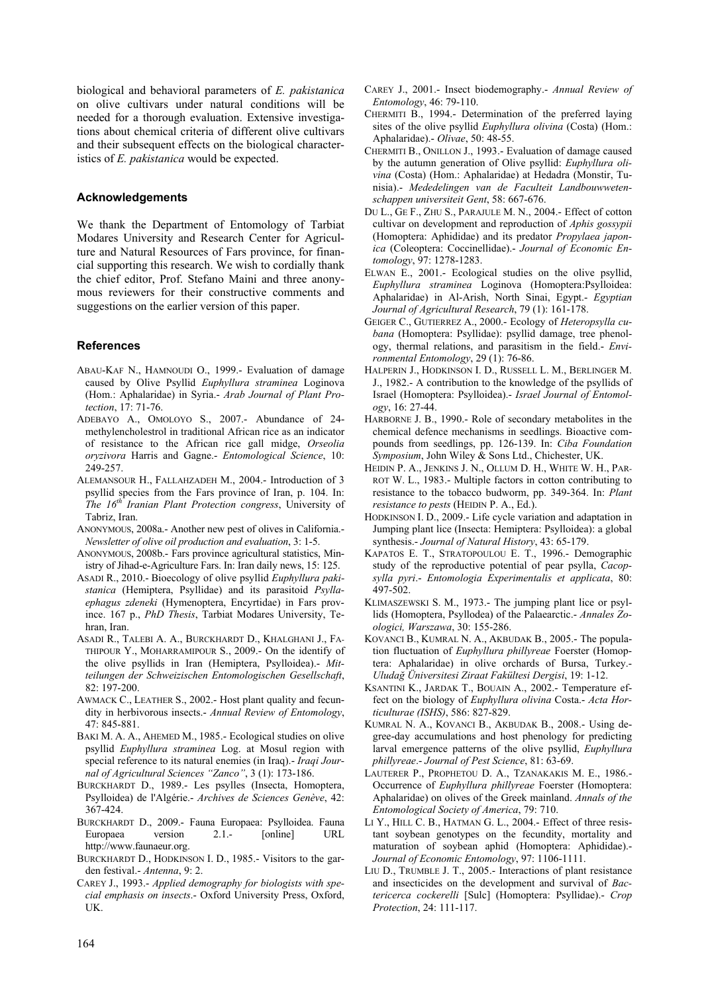biological and behavioral parameters of *E. pakistanica* on olive cultivars under natural conditions will be needed for a thorough evaluation. Extensive investigations about chemical criteria of different olive cultivars and their subsequent effects on the biological characteristics of *E. pakistanica* would be expected.

#### **Acknowledgements**

We thank the Department of Entomology of Tarbiat Modares University and Research Center for Agriculture and Natural Resources of Fars province, for financial supporting this research. We wish to cordially thank the chief editor, Prof. Stefano Maini and three anonymous reviewers for their constructive comments and suggestions on the earlier version of this paper.

## **References**

- ABAU-KAF N., HAMNOUDI O., 1999.- Evaluation of damage caused by Olive Psyllid *Euphyllura straminea* Loginova (Hom.: Aphalaridae) in Syria.- *Arab Journal of Plant Protection*, 17: 71-76.
- ADEBAYO A., OMOLOYO S., 2007.- Abundance of 24 methylencholestrol in traditional African rice as an indicator of resistance to the African rice gall midge, *Orseolia oryzivora* Harris and Gagne.- *Entomological Science*, 10: 249-257.
- ALEMANSOUR H., FALLAHZADEH M., 2004.- Introduction of 3 psyllid species from the Fars province of Iran, p. 104. In: *The 16th Iranian Plant Protection congress*, University of Tabriz, Iran.
- ANONYMOUS, 2008a.- Another new pest of olives in California.- *Newsletter of olive oil production and evaluation*, 3: 1-5.
- ANONYMOUS, 2008b.- Fars province agricultural statistics, Ministry of Jihad-e-Agriculture Fars. In: Iran daily news, 15: 125.
- ASADI R., 2010.- Bioecology of olive psyllid *Euphyllura pakistanica* (Hemiptera, Psyllidae) and its parasitoid *Psyllaephagus zdeneki* (Hymenoptera, Encyrtidae) in Fars province. 167 p., *PhD Thesis*, Tarbiat Modares University, Tehran, Iran.
- ASADI R., TALEBI A. A., BURCKHARDT D., KHALGHANI J., FA-THIPOUR Y., MOHARRAMIPOUR S., 2009.- On the identify of the olive psyllids in Iran (Hemiptera, Psylloidea).- *Mitteilungen der Schweizischen Entomologischen Gesellschaft*, 82: 197-200.
- AWMACK C., LEATHER S., 2002.- Host plant quality and fecundity in herbivorous insects.- *Annual Review of Entomology*, 47: 845-881.
- BAKI M. A. A., AHEMED M., 1985.- Ecological studies on olive psyllid *Euphyllura straminea* Log. at Mosul region with special reference to its natural enemies (in Iraq).- *Iraqi Journal of Agricultural Sciences "Zanco"*, 3 (1): 173-186.
- BURCKHARDT D., 1989.- Les psylles (Insecta, Homoptera, Psylloidea) de l'Algérie.- *Archives de Sciences Genève*, 42: 367-424.
- BURCKHARDT D., 2009.- Fauna Europaea: Psylloidea. Fauna Europaea version 2.1.- [online] URL http://www.faunaeur.org.
- BURCKHARDT D., HODKINSON I. D., 1985.- Visitors to the garden festival.- *Antenna*, 9: 2.
- CAREY J., 1993.- *Applied demography for biologists with special emphasis on insects*.- Oxford University Press, Oxford, UK.
- CAREY J., 2001.- Insect biodemography.- *Annual Review of Entomology*, 46: 79-110.
- CHERMITI B., 1994.- Determination of the preferred laying sites of the olive psyllid *Euphyllura olivina* (Costa) (Hom.: Aphalaridae).- *Olivae*, 50: 48-55.
- CHERMITI B., ONILLON J., 1993.- Evaluation of damage caused by the autumn generation of Olive psyllid: *Euphyllura olivina* (Costa) (Hom.: Aphalaridae) at Hedadra (Monstir, Tunisia).- *Mededelingen van de Faculteit Landbouwwetenschappen universiteit Gent*, 58: 667-676.
- DU L., GE F., ZHU S., PARAJULE M. N., 2004.- Effect of cotton cultivar on development and reproduction of *Aphis gossypii* (Homoptera: Aphididae) and its predator *Propylaea japonica* (Coleoptera: Coccinellidae).- *Journal of Economic Entomology*, 97: 1278-1283.
- ELWAN E., 2001.- Ecological studies on the olive psyllid, *Euphyllura straminea* Loginova (Homoptera:Psylloidea: Aphalaridae) in Al-Arish, North Sinai, Egypt.- *Egyptian Journal of Agricultural Research*, 79 (1): 161-178.
- GEIGER C., GUTIERREZ A., 2000.- Ecology of *Heteropsylla cubana* (Homoptera: Psyllidae): psyllid damage, tree phenology, thermal relations, and parasitism in the field.- *Environmental Entomology*, 29 (1): 76-86.
- HALPERIN J., HODKINSON I. D., RUSSELL L. M., BERLINGER M. J., 1982.- A contribution to the knowledge of the psyllids of Israel (Homoptera: Psylloidea).- *Israel Journal of Entomology*, 16: 27-44.
- HARBORNE J. B., 1990.- Role of secondary metabolites in the chemical defence mechanisms in seedlings. Bioactive compounds from seedlings, pp. 126-139. In: *Ciba Foundation Symposium*, John Wiley & Sons Ltd., Chichester, UK.
- HEIDIN P. A., JENKINS J. N., OLLUM D. H., WHITE W. H., PAR-ROT W. L., 1983.- Multiple factors in cotton contributing to resistance to the tobacco budworm, pp. 349-364. In: *Plant resistance to pests* (HEIDIN P. A., Ed.).
- HODKINSON I. D., 2009.- Life cycle variation and adaptation in Jumping plant lice (Insecta: Hemiptera: Psylloidea): a global synthesis.- *Journal of Natural History*, 43: 65-179.
- KAPATOS E. T., STRATOPOULOU E. T., 1996.- Demographic study of the reproductive potential of pear psylla, *Cacopsylla pyri*.- *Entomologia Experimentalis et applicata*, 80: 497-502.
- KLIMASZEWSKI S. M., 1973.- The jumping plant lice or psyllids (Homoptera, Psyllodea) of the Palaearctic.- *Annales Zoologici, Warszawa*, 30: 155-286.
- KOVANCI B., KUMRAL N. A., AKBUDAK B., 2005.- The population fluctuation of *Euphyllura phillyreae* Foerster (Homoptera: Aphalaridae) in olive orchards of Bursa, Turkey.- *Uludağ Üniversitesi Ziraat Fakültesi Dergisi*, 19: 1-12.
- KSANTINI K., JARDAK T., BOUAIN A., 2002.- Temperature effect on the biology of *Euphyllura olivina* Costa.- *Acta Horticulturae (ISHS)*, 586: 827-829.
- KUMRAL N. A., KOVANCI B., AKBUDAK B., 2008.- Using degree-day accumulations and host phenology for predicting larval emergence patterns of the olive psyllid, *Euphyllura phillyreae*.- *Journal of Pest Science*, 81: 63-69.
- LAUTERER P., PROPHETOU D. A., TZANAKAKIS M. E., 1986.- Occurrence of *Euphyllura phillyreae* Foerster (Homoptera: Aphalaridae) on olives of the Greek mainland. *Annals of the Entomological Society of America*, 79: 710.
- LI Y., HILL C. B., HATMAN G. L., 2004.- Effect of three resistant soybean genotypes on the fecundity, mortality and maturation of soybean aphid (Homoptera: Aphididae).- *Journal of Economic Entomology*, 97: 1106-1111.
- LIU D., TRUMBLE J. T., 2005.- Interactions of plant resistance and insecticides on the development and survival of *Bactericerca cockerelli* [Sulc] (Homoptera: Psyllidae).- *Crop Protection*, 24: 111-117.